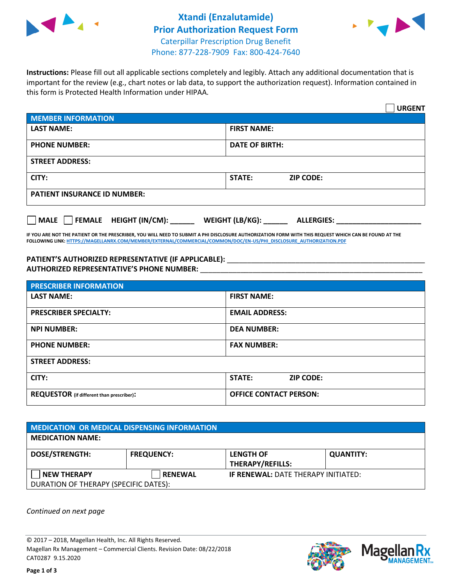



**Instructions:** Please fill out all applicable sections completely and legibly. Attach any additional documentation that is important for the review (e.g., chart notes or lab data, to support the authorization request). Information contained in this form is Protected Health Information under HIPAA.

|                                                | <b>URGENT</b>                        |  |
|------------------------------------------------|--------------------------------------|--|
| <b>MEMBER INFORMATION</b>                      |                                      |  |
| <b>LAST NAME:</b>                              | <b>FIRST NAME:</b>                   |  |
| <b>PHONE NUMBER:</b>                           | <b>DATE OF BIRTH:</b>                |  |
| <b>STREET ADDRESS:</b>                         |                                      |  |
| CITY:                                          | <b>STATE:</b><br><b>ZIP CODE:</b>    |  |
| <b>PATIENT INSURANCE ID NUMBER:</b>            |                                      |  |
| $\Box$ FEMALE HEIGHT (IN/CM): _<br><b>MALE</b> | WEIGHT (LB/KG):<br><b>ALLERGIES:</b> |  |

**IF YOU ARE NOT THE PATIENT OR THE PRESCRIBER, YOU WILL NEED TO SUBMIT A PHI DISCLOSURE AUTHORIZATION FORM WITH THIS REQUEST WHICH CAN BE FOUND AT THE FOLLOWING LINK[: HTTPS://MAGELLANRX.COM/MEMBER/EXTERNAL/COMMERCIAL/COMMON/DOC/EN-US/PHI\\_DISCLOSURE\\_AUTHORIZATION.PDF](https://magellanrx.com/member/external/commercial/common/doc/en-us/PHI_Disclosure_Authorization.pdf)**

PATIENT'S AUTHORIZED REPRESENTATIVE (IF APPLICABLE): \_\_\_\_\_\_\_\_\_\_\_\_\_\_\_\_\_\_\_\_\_\_\_\_\_\_\_ **AUTHORIZED REPRESENTATIVE'S PHONE NUMBER:** \_\_\_\_\_\_\_\_\_\_\_\_\_\_\_\_\_\_\_\_\_\_\_\_\_\_\_\_\_\_\_\_\_\_\_\_\_\_\_\_\_\_\_\_\_\_\_\_\_\_\_\_\_\_\_

| <b>PRESCRIBER INFORMATION</b>             |                               |  |
|-------------------------------------------|-------------------------------|--|
| <b>LAST NAME:</b>                         | <b>FIRST NAME:</b>            |  |
| <b>PRESCRIBER SPECIALTY:</b>              | <b>EMAIL ADDRESS:</b>         |  |
| <b>NPI NUMBER:</b>                        | <b>DEA NUMBER:</b>            |  |
| <b>PHONE NUMBER:</b>                      | <b>FAX NUMBER:</b>            |  |
| <b>STREET ADDRESS:</b>                    |                               |  |
| CITY:                                     | STATE:<br><b>ZIP CODE:</b>    |  |
| REQUESTOR (if different than prescriber): | <b>OFFICE CONTACT PERSON:</b> |  |

| <b>MEDICATION OR MEDICAL DISPENSING INFORMATION</b> |                   |                                            |                  |
|-----------------------------------------------------|-------------------|--------------------------------------------|------------------|
| <b>MEDICATION NAME:</b>                             |                   |                                            |                  |
| <b>DOSE/STRENGTH:</b>                               | <b>FREQUENCY:</b> | <b>LENGTH OF</b>                           | <b>QUANTITY:</b> |
|                                                     |                   | <b>THERAPY/REFILLS:</b>                    |                  |
| <b>NEW THERAPY</b>                                  | <b>RENEWAL</b>    | <b>IF RENEWAL: DATE THERAPY INITIATED:</b> |                  |
| DURATION OF THERAPY (SPECIFIC DATES):               |                   |                                            |                  |

*Continued on next page*

© 2017 – 2018, Magellan Health, Inc. All Rights Reserved. Magellan Rx Management – Commercial Clients. Revision Date: 08/22/2018 CAT0287 9.15.2020



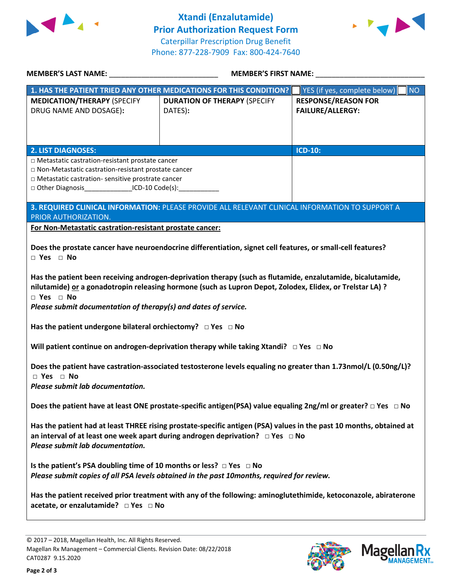



| <b>MEMBER'S LAST NAME:</b> NAME                                                                                                                                                                                                                                                                                                                                                                                                                                                                                                                                                                                                                                                                                                                                                                                       | <b>MEMBER'S FIRST NAME:</b>                                                                     |                                                       |  |  |
|-----------------------------------------------------------------------------------------------------------------------------------------------------------------------------------------------------------------------------------------------------------------------------------------------------------------------------------------------------------------------------------------------------------------------------------------------------------------------------------------------------------------------------------------------------------------------------------------------------------------------------------------------------------------------------------------------------------------------------------------------------------------------------------------------------------------------|-------------------------------------------------------------------------------------------------|-------------------------------------------------------|--|--|
|                                                                                                                                                                                                                                                                                                                                                                                                                                                                                                                                                                                                                                                                                                                                                                                                                       | 1. HAS THE PATIENT TRIED ANY OTHER MEDICATIONS FOR THIS CONDITION?                              | YES (if yes, complete below)  <br><b>NO</b>           |  |  |
| <b>MEDICATION/THERAPY (SPECIFY</b><br>DRUG NAME AND DOSAGE):                                                                                                                                                                                                                                                                                                                                                                                                                                                                                                                                                                                                                                                                                                                                                          | <b>DURATION OF THERAPY (SPECIFY</b><br>DATES):                                                  | <b>RESPONSE/REASON FOR</b><br><b>FAILURE/ALLERGY:</b> |  |  |
| <b>2. LIST DIAGNOSES:</b>                                                                                                                                                                                                                                                                                                                                                                                                                                                                                                                                                                                                                                                                                                                                                                                             |                                                                                                 | <b>ICD-10:</b>                                        |  |  |
| □ Metastatic castration-resistant prostate cancer<br>□ Non-Metastatic castration-resistant prostate cancer<br>□ Metastatic castration- sensitive prostrate cancer<br>□ Other Diagnosis ________________ICD-10 Code(s): ____________                                                                                                                                                                                                                                                                                                                                                                                                                                                                                                                                                                                   |                                                                                                 |                                                       |  |  |
| PRIOR AUTHORIZATION.                                                                                                                                                                                                                                                                                                                                                                                                                                                                                                                                                                                                                                                                                                                                                                                                  | 3. REQUIRED CLINICAL INFORMATION: PLEASE PROVIDE ALL RELEVANT CLINICAL INFORMATION TO SUPPORT A |                                                       |  |  |
| For Non-Metastatic castration-resistant prostate cancer:                                                                                                                                                                                                                                                                                                                                                                                                                                                                                                                                                                                                                                                                                                                                                              |                                                                                                 |                                                       |  |  |
| Does the prostate cancer have neuroendocrine differentiation, signet cell features, or small-cell features?<br>$\Box$ Yes $\Box$ No<br>Has the patient been receiving androgen-deprivation therapy (such as flutamide, enzalutamide, bicalutamide,<br>nilutamide) or a gonadotropin releasing hormone (such as Lupron Depot, Zolodex, Elidex, or Trelstar LA) ?<br>$\Box$ Yes $\Box$ No<br>Please submit documentation of therapy(s) and dates of service.<br>Has the patient undergone bilateral orchiectomy? $\Box$ Yes $\Box$ No<br>Will patient continue on androgen-deprivation therapy while taking Xtandi? $\Box$ Yes $\Box$ No<br>Does the patient have castration-associated testosterone levels equaling no greater than 1.73nmol/L (0.50ng/L)?<br>$\Box$ Yes $\Box$ No<br>Please submit lab documentation. |                                                                                                 |                                                       |  |  |
| Does the patient have at least ONE prostate-specific antigen(PSA) value equaling 2ng/ml or greater? $\Box$ Yes $\Box$ No                                                                                                                                                                                                                                                                                                                                                                                                                                                                                                                                                                                                                                                                                              |                                                                                                 |                                                       |  |  |
| Has the patient had at least THREE rising prostate-specific antigen (PSA) values in the past 10 months, obtained at<br>an interval of at least one week apart during androgen deprivation? $\Box$ Yes $\Box$ No<br>Please submit lab documentation.                                                                                                                                                                                                                                                                                                                                                                                                                                                                                                                                                                   |                                                                                                 |                                                       |  |  |
| Is the patient's PSA doubling time of 10 months or less? $\Box$ Yes $\Box$ No<br>Please submit copies of all PSA levels obtained in the past 10months, required for review.                                                                                                                                                                                                                                                                                                                                                                                                                                                                                                                                                                                                                                           |                                                                                                 |                                                       |  |  |
| Has the patient received prior treatment with any of the following: aminoglutethimide, ketoconazole, abiraterone                                                                                                                                                                                                                                                                                                                                                                                                                                                                                                                                                                                                                                                                                                      |                                                                                                 |                                                       |  |  |